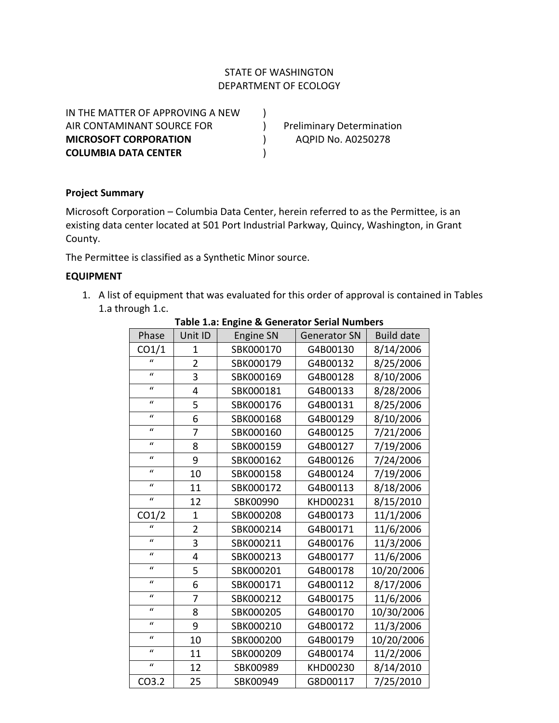# STATE OF WASHINGTON DEPARTMENT OF ECOLOGY

IN THE MATTER OF APPROVING A NEW ) AIR CONTAMINANT SOURCE FOR The Preliminary Determination **MICROSOFT CORPORATION** ) AQPID No. A0250278 **COLUMBIA DATA CENTER** )

### **Project Summary**

Microsoft Corporation – Columbia Data Center, herein referred to as the Permittee, is an existing data center located at 501 Port Industrial Parkway, Quincy, Washington, in Grant County.

The Permittee is classified as a Synthetic Minor source.

### **EQUIPMENT**

1. A list of equipment that was evaluated for this order of approval is contained in Tables 1.a through 1.c.

| Phase              | Unit ID        | <b>Engine SN</b> | <b>Generator SN</b> | <b>Build date</b> |
|--------------------|----------------|------------------|---------------------|-------------------|
| CO1/1              | 1              | SBK000170        | G4B00130            | 8/14/2006         |
| $\mathcal{U}$      | $\overline{2}$ | SBK000179        | G4B00132            | 8/25/2006         |
| $\boldsymbol{u}$   | 3              | SBK000169        | G4B00128            | 8/10/2006         |
| $\mathbf{u}$       | 4              | SBK000181        | G4B00133            | 8/28/2006         |
| $\boldsymbol{u}$   | 5              | SBK000176        | G4B00131            | 8/25/2006         |
| $\mathbf{u}$       | 6              | SBK000168        | G4B00129            | 8/10/2006         |
| $\mathbf{u}$       | 7              | SBK000160        | G4B00125            | 7/21/2006         |
| $\mathbf{u}$       | 8              | SBK000159        | G4B00127            | 7/19/2006         |
| $\mathbf{u}$       | 9              | SBK000162        | G4B00126            | 7/24/2006         |
| $\boldsymbol{u}$   | 10             | SBK000158        | G4B00124            | 7/19/2006         |
| $\mathbf{u}$       | 11             | SBK000172        | G4B00113            | 8/18/2006         |
| $\mathbf{u}$       | 12             | SBK00990         | KHD00231            | 8/15/2010         |
| CO <sub>1</sub> /2 | $\mathbf 1$    | SBK000208        | G4B00173            | 11/1/2006         |
| $\mathbf{u}$       | $\overline{2}$ | SBK000214        | G4B00171            | 11/6/2006         |
| $\boldsymbol{u}$   | 3              | SBK000211        | G4B00176            | 11/3/2006         |
| $\boldsymbol{u}$   | 4              | SBK000213        | G4B00177            | 11/6/2006         |
| $\boldsymbol{u}$   | 5              | SBK000201        | G4B00178            | 10/20/2006        |
| $\boldsymbol{u}$   | 6              | SBK000171        | G4B00112            | 8/17/2006         |
| $\mathbf{u}$       | 7              | SBK000212        | G4B00175            | 11/6/2006         |
| $\mathbf{u}$       | 8              | SBK000205        | G4B00170            | 10/30/2006        |
| $\boldsymbol{u}$   | 9              | SBK000210        | G4B00172            | 11/3/2006         |
| $\mathbf{u}$       | 10             | SBK000200        | G4B00179            | 10/20/2006        |
| $\boldsymbol{u}$   | 11             | SBK000209        | G4B00174            | 11/2/2006         |
| $\boldsymbol{u}$   | 12             | SBK00989         | KHD00230            | 8/14/2010         |
| CO3.2              | 25             | SBK00949         | G8D00117            | 7/25/2010         |

#### **Table 1.a: Engine & Generator Serial Numbers**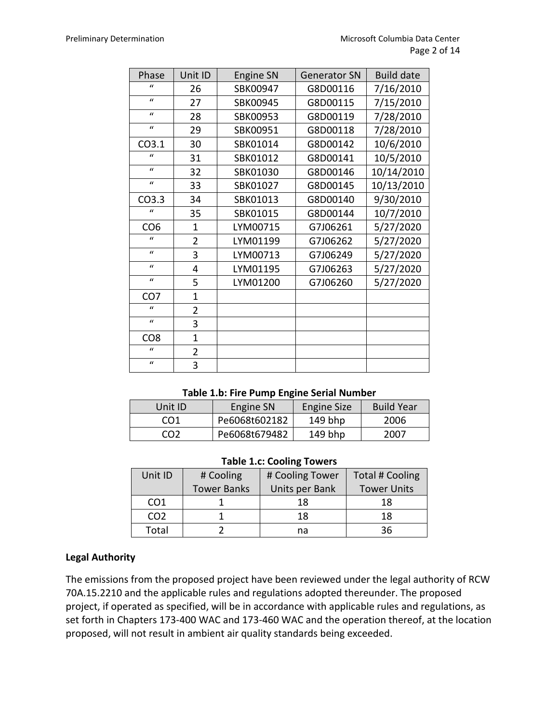| Phase             | Unit ID        | <b>Engine SN</b> | <b>Generator SN</b> | <b>Build date</b> |
|-------------------|----------------|------------------|---------------------|-------------------|
| $\mathbf{u}$      | 26             | SBK00947         | G8D00116            | 7/16/2010         |
| $\mathbf{u}$      | 27             | SBK00945         | G8D00115            | 7/15/2010         |
| $\mathbf{u}$      | 28             | SBK00953         | G8D00119            | 7/28/2010         |
| $\mathbf{u}$      | 29             | SBK00951         | G8D00118            | 7/28/2010         |
| CO <sub>3.1</sub> | 30             | SBK01014         | G8D00142            | 10/6/2010         |
| $\bf{u}$          | 31             | SBK01012         | G8D00141            | 10/5/2010         |
| $\mathbf{u}$      | 32             | SBK01030         | G8D00146            | 10/14/2010        |
| $\boldsymbol{u}$  | 33             | SBK01027         | G8D00145            | 10/13/2010        |
| CO3.3             | 34             | SBK01013         | G8D00140            | 9/30/2010         |
| $\mathbf{u}$      | 35             | SBK01015         | G8D00144            | 10/7/2010         |
| CO <sub>6</sub>   | $\mathbf{1}$   | LYM00715         | G7J06261            | 5/27/2020         |
| $\mathbf{u}$      | $\overline{2}$ | LYM01199         | G7J06262            | 5/27/2020         |
| $\boldsymbol{u}$  | 3              | LYM00713         | G7J06249            | 5/27/2020         |
| $\mathbf{u}$      | 4              | LYM01195         | G7J06263            | 5/27/2020         |
| $\boldsymbol{u}$  | 5              | LYM01200         | G7J06260            | 5/27/2020         |
| CO <sub>7</sub>   | $\mathbf{1}$   |                  |                     |                   |
| $\mathbf{u}$      | $\overline{2}$ |                  |                     |                   |
| $\mathcal{U}$     | 3              |                  |                     |                   |
| CO <sub>8</sub>   | $\mathbf{1}$   |                  |                     |                   |
| $\mathcal{U}$     | $\overline{2}$ |                  |                     |                   |
| $\mathcal{U}$     | 3              |                  |                     |                   |

### **Table 1.b: Fire Pump Engine Serial Number**

| Unit ID         | Engine SN     | Engine Size | <b>Build Year</b> |
|-----------------|---------------|-------------|-------------------|
| CO1             | Pe6068t602182 | $149$ bhp   | 2006              |
| CO <sub>2</sub> | Pe6068t679482 | $149$ bhp   | 2007              |

#### **Table 1.c: Cooling Towers**

| Unit ID         | # Cooling          | # Cooling Tower | <b>Total # Cooling</b> |
|-----------------|--------------------|-----------------|------------------------|
|                 | <b>Tower Banks</b> | Units per Bank  | <b>Tower Units</b>     |
| CO <sub>1</sub> |                    | 18              | 18                     |
| CO <sub>2</sub> |                    | 18              | 18                     |
| Total           |                    | na              | 36                     |

### **Legal Authority**

The emissions from the proposed project have been reviewed under the legal authority of RCW 70A.15.2210 and the applicable rules and regulations adopted thereunder. The proposed project, if operated as specified, will be in accordance with applicable rules and regulations, as set forth in Chapters 173-400 WAC and 173-460 WAC and the operation thereof, at the location proposed, will not result in ambient air quality standards being exceeded.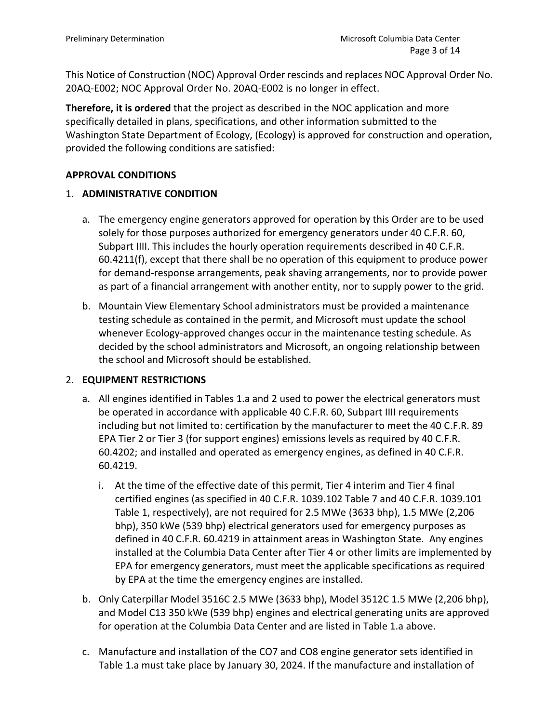This Notice of Construction (NOC) Approval Order rescinds and replaces NOC Approval Order No. 20AQ-E002; NOC Approval Order No. 20AQ-E002 is no longer in effect.

**Therefore, it is ordered** that the project as described in the NOC application and more specifically detailed in plans, specifications, and other information submitted to the Washington State Department of Ecology, (Ecology) is approved for construction and operation, provided the following conditions are satisfied:

### **APPROVAL CONDITIONS**

### 1. **ADMINISTRATIVE CONDITION**

- a. The emergency engine generators approved for operation by this Order are to be used solely for those purposes authorized for emergency generators under 40 C.F.R. 60, Subpart IIII. This includes the hourly operation requirements described in 40 C.F.R. 60.4211(f), except that there shall be no operation of this equipment to produce power for demand-response arrangements, peak shaving arrangements, nor to provide power as part of a financial arrangement with another entity, nor to supply power to the grid.
- b. Mountain View Elementary School administrators must be provided a maintenance testing schedule as contained in the permit, and Microsoft must update the school whenever Ecology-approved changes occur in the maintenance testing schedule. As decided by the school administrators and Microsoft, an ongoing relationship between the school and Microsoft should be established.

### 2. **EQUIPMENT RESTRICTIONS**

- a. All engines identified in Tables 1.a and 2 used to power the electrical generators must be operated in accordance with applicable 40 C.F.R. 60, Subpart IIII requirements including but not limited to: certification by the manufacturer to meet the 40 C.F.R. 89 EPA Tier 2 or Tier 3 (for support engines) emissions levels as required by 40 C.F.R. 60.4202; and installed and operated as emergency engines, as defined in 40 C.F.R. 60.4219.
	- i. At the time of the effective date of this permit, Tier 4 interim and Tier 4 final certified engines (as specified in 40 C.F.R. 1039.102 Table 7 and 40 C.F.R. 1039.101 Table 1, respectively), are not required for 2.5 MWe (3633 bhp), 1.5 MWe (2,206 bhp), 350 kWe (539 bhp) electrical generators used for emergency purposes as defined in 40 C.F.R. 60.4219 in attainment areas in Washington State. Any engines installed at the Columbia Data Center after Tier 4 or other limits are implemented by EPA for emergency generators, must meet the applicable specifications as required by EPA at the time the emergency engines are installed.
- b. Only Caterpillar Model 3516C 2.5 MWe (3633 bhp), Model 3512C 1.5 MWe (2,206 bhp), and Model C13 350 kWe (539 bhp) engines and electrical generating units are approved for operation at the Columbia Data Center and are listed in Table 1.a above.
- c. Manufacture and installation of the CO7 and CO8 engine generator sets identified in Table 1.a must take place by January 30, 2024. If the manufacture and installation of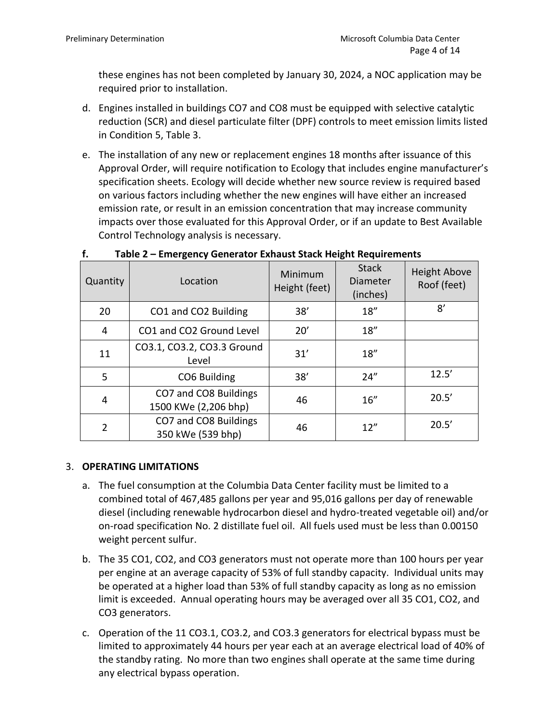these engines has not been completed by January 30, 2024, a NOC application may be required prior to installation.

- d. Engines installed in buildings CO7 and CO8 must be equipped with selective catalytic reduction (SCR) and diesel particulate filter (DPF) controls to meet emission limits listed in Condition 5, Table 3.
- e. The installation of any new or replacement engines 18 months after issuance of this Approval Order, will require notification to Ecology that includes engine manufacturer's specification sheets. Ecology will decide whether new source review is required based on various factors including whether the new engines will have either an increased emission rate, or result in an emission concentration that may increase community impacts over those evaluated for this Approval Order, or if an update to Best Available Control Technology analysis is necessary.

| Quantity | Location                                      | Minimum<br>Height (feet) | <b>Stack</b><br>Diameter<br>(inches) | <b>Height Above</b><br>Roof (feet) |
|----------|-----------------------------------------------|--------------------------|--------------------------------------|------------------------------------|
| 20       | CO1 and CO2 Building                          | 38'                      | 18''                                 | 8'                                 |
| 4        | CO1 and CO2 Ground Level                      | 20'                      | 18''                                 |                                    |
| 11       | CO3.1, CO3.2, CO3.3 Ground<br>Level           | 31'                      | 18''                                 |                                    |
| 5        | CO6 Building                                  | 38'                      | 24''                                 | 12.5'                              |
| 4        | CO7 and CO8 Buildings<br>1500 KWe (2,206 bhp) | 46                       | 16''                                 | 20.5'                              |
| 2        | CO7 and CO8 Buildings<br>350 kWe (539 bhp)    | 46                       | 12''                                 | 20.5'                              |

# **f. Table 2 – Emergency Generator Exhaust Stack Height Requirements**

### 3. **OPERATING LIMITATIONS**

- a. The fuel consumption at the Columbia Data Center facility must be limited to a combined total of 467,485 gallons per year and 95,016 gallons per day of renewable diesel (including renewable hydrocarbon diesel and hydro-treated vegetable oil) and/or on-road specification No. 2 distillate fuel oil. All fuels used must be less than 0.00150 weight percent sulfur.
- b. The 35 CO1, CO2, and CO3 generators must not operate more than 100 hours per year per engine at an average capacity of 53% of full standby capacity. Individual units may be operated at a higher load than 53% of full standby capacity as long as no emission limit is exceeded. Annual operating hours may be averaged over all 35 CO1, CO2, and CO3 generators.
- c. Operation of the 11 CO3.1, CO3.2, and CO3.3 generators for electrical bypass must be limited to approximately 44 hours per year each at an average electrical load of 40% of the standby rating. No more than two engines shall operate at the same time during any electrical bypass operation.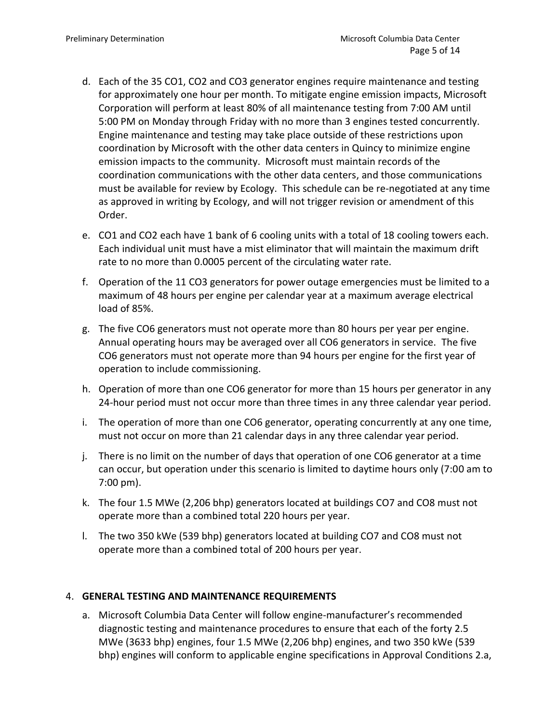- d. Each of the 35 CO1, CO2 and CO3 generator engines require maintenance and testing for approximately one hour per month. To mitigate engine emission impacts, Microsoft Corporation will perform at least 80% of all maintenance testing from 7:00 AM until 5:00 PM on Monday through Friday with no more than 3 engines tested concurrently. Engine maintenance and testing may take place outside of these restrictions upon coordination by Microsoft with the other data centers in Quincy to minimize engine emission impacts to the community. Microsoft must maintain records of the coordination communications with the other data centers, and those communications must be available for review by Ecology. This schedule can be re-negotiated at any time as approved in writing by Ecology, and will not trigger revision or amendment of this Order.
- e. CO1 and CO2 each have 1 bank of 6 cooling units with a total of 18 cooling towers each. Each individual unit must have a mist eliminator that will maintain the maximum drift rate to no more than 0.0005 percent of the circulating water rate.
- f. Operation of the 11 CO3 generators for power outage emergencies must be limited to a maximum of 48 hours per engine per calendar year at a maximum average electrical load of 85%.
- g. The five CO6 generators must not operate more than 80 hours per year per engine. Annual operating hours may be averaged over all CO6 generators in service. The five CO6 generators must not operate more than 94 hours per engine for the first year of operation to include commissioning.
- h. Operation of more than one CO6 generator for more than 15 hours per generator in any 24-hour period must not occur more than three times in any three calendar year period.
- i. The operation of more than one CO6 generator, operating concurrently at any one time, must not occur on more than 21 calendar days in any three calendar year period.
- j. There is no limit on the number of days that operation of one CO6 generator at a time can occur, but operation under this scenario is limited to daytime hours only (7:00 am to 7:00 pm).
- k. The four 1.5 MWe (2,206 bhp) generators located at buildings CO7 and CO8 must not operate more than a combined total 220 hours per year.
- l. The two 350 kWe (539 bhp) generators located at building CO7 and CO8 must not operate more than a combined total of 200 hours per year.

### 4. **GENERAL TESTING AND MAINTENANCE REQUIREMENTS**

a. Microsoft Columbia Data Center will follow engine-manufacturer's recommended diagnostic testing and maintenance procedures to ensure that each of the forty 2.5 MWe (3633 bhp) engines, four 1.5 MWe (2,206 bhp) engines, and two 350 kWe (539 bhp) engines will conform to applicable engine specifications in Approval Conditions 2.a,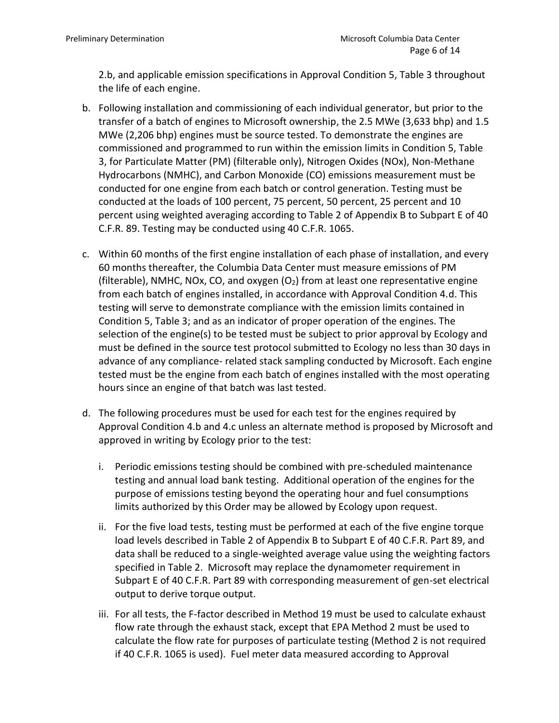2.b, and applicable emission specifications in Approval Condition 5, Table 3 throughout the life of each engine.

- b. Following installation and commissioning of each individual generator, but prior to the transfer of a batch of engines to Microsoft ownership, the 2.5 MWe (3,633 bhp) and 1.5 MWe (2,206 bhp) engines must be source tested. To demonstrate the engines are commissioned and programmed to run within the emission limits in Condition 5, Table 3, for Particulate Matter (PM) (filterable only), Nitrogen Oxides (NOx), Non-Methane Hydrocarbons (NMHC), and Carbon Monoxide (CO) emissions measurement must be conducted for one engine from each batch or control generation. Testing must be conducted at the loads of 100 percent, 75 percent, 50 percent, 25 percent and 10 percent using weighted averaging according to Table 2 of Appendix B to Subpart E of 40 C.F.R. 89. Testing may be conducted using 40 C.F.R. 1065.
- c. Within 60 months of the first engine installation of each phase of installation, and every 60 months thereafter, the Columbia Data Center must measure emissions of PM (filterable), NMHC, NOx, CO, and oxygen  $(O<sub>2</sub>)$  from at least one representative engine from each batch of engines installed, in accordance with Approval Condition 4.d. This testing will serve to demonstrate compliance with the emission limits contained in Condition 5, Table 3; and as an indicator of proper operation of the engines. The selection of the engine(s) to be tested must be subject to prior approval by Ecology and must be defined in the source test protocol submitted to Ecology no less than 30 days in advance of any compliance- related stack sampling conducted by Microsoft. Each engine tested must be the engine from each batch of engines installed with the most operating hours since an engine of that batch was last tested.
- d. The following procedures must be used for each test for the engines required by Approval Condition 4.b and 4.c unless an alternate method is proposed by Microsoft and approved in writing by Ecology prior to the test:
	- i. Periodic emissions testing should be combined with pre-scheduled maintenance testing and annual load bank testing. Additional operation of the engines for the purpose of emissions testing beyond the operating hour and fuel consumptions limits authorized by this Order may be allowed by Ecology upon request.
	- ii. For the five load tests, testing must be performed at each of the five engine torque load levels described in Table 2 of Appendix B to Subpart E of 40 C.F.R. Part 89, and data shall be reduced to a single-weighted average value using the weighting factors specified in Table 2. Microsoft may replace the dynamometer requirement in Subpart E of 40 C.F.R. Part 89 with corresponding measurement of gen-set electrical output to derive torque output.
	- iii. For all tests, the F-factor described in Method 19 must be used to calculate exhaust flow rate through the exhaust stack, except that EPA Method 2 must be used to calculate the flow rate for purposes of particulate testing (Method 2 is not required if 40 C.F.R. 1065 is used). Fuel meter data measured according to Approval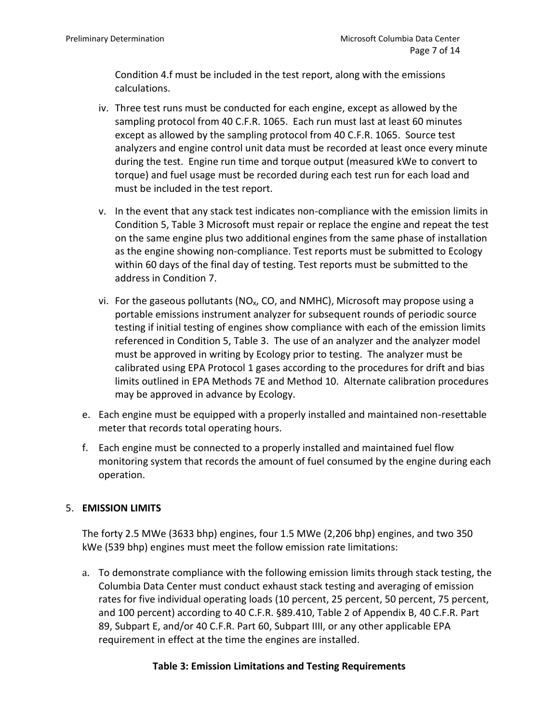Condition 4.f must be included in the test report, along with the emissions calculations.

- iv. Three test runs must be conducted for each engine, except as allowed by the sampling protocol from 40 C.F.R. 1065. Each run must last at least 60 minutes except as allowed by the sampling protocol from 40 C.F.R. 1065. Source test analyzers and engine control unit data must be recorded at least once every minute during the test. Engine run time and torque output (measured kWe to convert to torque) and fuel usage must be recorded during each test run for each load and must be included in the test report.
- v. In the event that any stack test indicates non-compliance with the emission limits in Condition 5, Table 3 Microsoft must repair or replace the engine and repeat the test on the same engine plus two additional engines from the same phase of installation as the engine showing non-compliance. Test reports must be submitted to Ecology within 60 days of the final day of testing. Test reports must be submitted to the address in Condition 7.
- vi. For the gaseous pollutants ( $NO<sub>x</sub>$ , CO, and NMHC), Microsoft may propose using a portable emissions instrument analyzer for subsequent rounds of periodic source testing if initial testing of engines show compliance with each of the emission limits referenced in Condition 5, Table 3. The use of an analyzer and the analyzer model must be approved in writing by Ecology prior to testing. The analyzer must be calibrated using EPA Protocol 1 gases according to the procedures for drift and bias limits outlined in EPA Methods 7E and Method 10. Alternate calibration procedures may be approved in advance by Ecology.
- e. Each engine must be equipped with a properly installed and maintained non-resettable meter that records total operating hours.
- f. Each engine must be connected to a properly installed and maintained fuel flow monitoring system that records the amount of fuel consumed by the engine during each operation.

# 5. **EMISSION LIMITS**

The forty 2.5 MWe (3633 bhp) engines, four 1.5 MWe (2,206 bhp) engines, and two 350 kWe (539 bhp) engines must meet the follow emission rate limitations:

a. To demonstrate compliance with the following emission limits through stack testing, the Columbia Data Center must conduct exhaust stack testing and averaging of emission rates for five individual operating loads (10 percent, 25 percent, 50 percent, 75 percent, and 100 percent) according to 40 C.F.R. §89.410, Table 2 of Appendix B, 40 C.F.R. Part 89, Subpart E, and/or 40 C.F.R. Part 60, Subpart IIII, or any other applicable EPA requirement in effect at the time the engines are installed.

# **Table 3: Emission Limitations and Testing Requirements**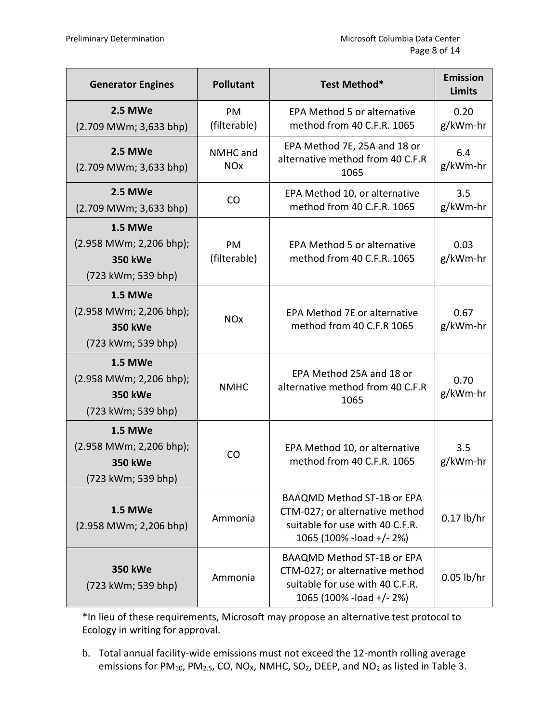| <b>Generator Engines</b>                                                          | <b>Pollutant</b>                                                                                              | Test Method*                                                                                                                        | <b>Emission</b><br><b>Limits</b> |
|-----------------------------------------------------------------------------------|---------------------------------------------------------------------------------------------------------------|-------------------------------------------------------------------------------------------------------------------------------------|----------------------------------|
| <b>2.5 MWe</b><br>$(2.709$ MWm; 3,633 bhp)                                        | PM<br>(filterable)                                                                                            | <b>EPA Method 5 or alternative</b><br>method from 40 C.F.R. 1065                                                                    | 0.20<br>g/kWm-hr                 |
| <b>2.5 MWe</b><br>$(2.709$ MWm; 3,633 bhp)                                        | EPA Method 7E, 25A and 18 or<br>NMHC and<br>alternative method from 40 C.F.R<br><b>NO<sub>x</sub></b><br>1065 |                                                                                                                                     | 6.4<br>g/kWm-hr                  |
| <b>2.5 MWe</b><br>$(2.709$ MWm; 3,633 bhp)                                        | CO                                                                                                            | EPA Method 10, or alternative<br>method from 40 C.F.R. 1065                                                                         | 3.5<br>g/kWm-hr                  |
| <b>1.5 MWe</b><br>(2.958 MWm; 2,206 bhp);<br><b>350 kWe</b><br>(723 kWm; 539 bhp) | PM<br>(filterable)                                                                                            | EPA Method 5 or alternative<br>method from 40 C.F.R. 1065                                                                           | 0.03<br>g/kWm-hr                 |
| <b>1.5 MWe</b><br>(2.958 MWm; 2,206 bhp);<br><b>350 kWe</b><br>(723 kWm; 539 bhp) | <b>NO<sub>x</sub></b>                                                                                         | EPA Method 7E or alternative<br>method from 40 C.F.R 1065                                                                           | 0.67<br>g/kWm-hr                 |
| <b>1.5 MWe</b><br>(2.958 MWm; 2,206 bhp);<br><b>350 kWe</b><br>(723 kWm; 539 bhp) | <b>NMHC</b>                                                                                                   | EPA Method 25A and 18 or<br>alternative method from 40 C.F.R<br>1065                                                                | 0.70<br>g/kWm-hr                 |
| <b>1.5 MWe</b><br>(2.958 MWm; 2,206 bhp);<br><b>350 kWe</b><br>(723 kWm; 539 bhp) | <b>CO</b>                                                                                                     | EPA Method 10, or alternative<br>method from 40 C.F.R. 1065                                                                         | 3.5<br>g/kWm-hr                  |
| <b>1.5 MWe</b><br>$(2.958 \text{ MWm}; 2,206 \text{ bhp})$                        | Ammonia                                                                                                       | <b>BAAQMD Method ST-1B or EPA</b><br>CTM-027; or alternative method<br>suitable for use with 40 C.F.R.<br>1065 (100% - load +/- 2%) | $0.17$ lb/hr                     |
| <b>350 kWe</b><br>(723 kWm; 539 bhp)                                              | Ammonia                                                                                                       | <b>BAAQMD Method ST-1B or EPA</b><br>CTM-027; or alternative method<br>suitable for use with 40 C.F.R.<br>1065 (100% - load +/- 2%) | $0.05$ lb/hr                     |

\*In lieu of these requirements, Microsoft may propose an alternative test protocol to Ecology in writing for approval.

b. Total annual facility-wide emissions must not exceed the 12-month rolling average emissions for PM<sub>10</sub>, PM<sub>2.5</sub>, CO, NO<sub>X</sub>, NMHC, SO<sub>2</sub>, DEEP, and NO<sub>2</sub> as listed in Table 3.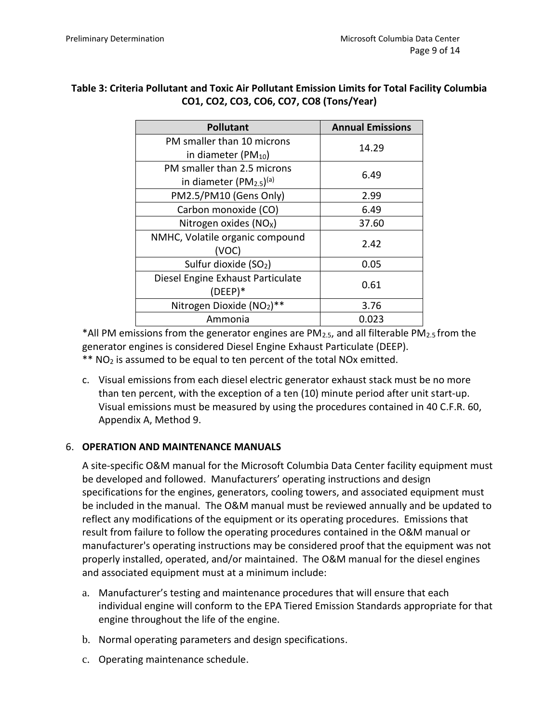# **Table 3: Criteria Pollutant and Toxic Air Pollutant Emission Limits for Total Facility Columbia CO1, CO2, CO3, CO6, CO7, CO8 (Tons/Year)**

| <b>Pollutant</b>                                | <b>Annual Emissions</b> |
|-------------------------------------------------|-------------------------|
| PM smaller than 10 microns                      | 14.29                   |
| in diameter (PM $_{10}$ )                       |                         |
| PM smaller than 2.5 microns                     |                         |
| in diameter (PM <sub>2.5</sub> ) <sup>(a)</sup> | 6.49                    |
| PM2.5/PM10 (Gens Only)                          | 2.99                    |
| Carbon monoxide (CO)                            | 6.49                    |
| Nitrogen oxides (NO <sub>x</sub> )              | 37.60                   |
| NMHC, Volatile organic compound                 | 2.42                    |
| (VOC)                                           |                         |
| Sulfur dioxide (SO <sub>2</sub> )               | 0.05                    |
| Diesel Engine Exhaust Particulate               | 0.61                    |
| $(DEEP)*$                                       |                         |
| Nitrogen Dioxide (NO2)**                        | 3.76                    |
| Ammonia                                         | 0.023                   |

\*All PM emissions from the generator engines are  $PM_{2.5}$ , and all filterable  $PM_{2.5}$  from the generator engines is considered Diesel Engine Exhaust Particulate (DEEP).  $**$  NO<sub>2</sub> is assumed to be equal to ten percent of the total NOx emitted.

c. Visual emissions from each diesel electric generator exhaust stack must be no more than ten percent, with the exception of a ten (10) minute period after unit start-up. Visual emissions must be measured by using the procedures contained in 40 C.F.R. 60, Appendix A, Method 9.

# 6. **OPERATION AND MAINTENANCE MANUALS**

A site-specific O&M manual for the Microsoft Columbia Data Center facility equipment must be developed and followed. Manufacturers' operating instructions and design specifications for the engines, generators, cooling towers, and associated equipment must be included in the manual. The O&M manual must be reviewed annually and be updated to reflect any modifications of the equipment or its operating procedures. Emissions that result from failure to follow the operating procedures contained in the O&M manual or manufacturer's operating instructions may be considered proof that the equipment was not properly installed, operated, and/or maintained. The O&M manual for the diesel engines and associated equipment must at a minimum include:

- a. Manufacturer's testing and maintenance procedures that will ensure that each individual engine will conform to the EPA Tiered Emission Standards appropriate for that engine throughout the life of the engine.
- b. Normal operating parameters and design specifications.
- c. Operating maintenance schedule.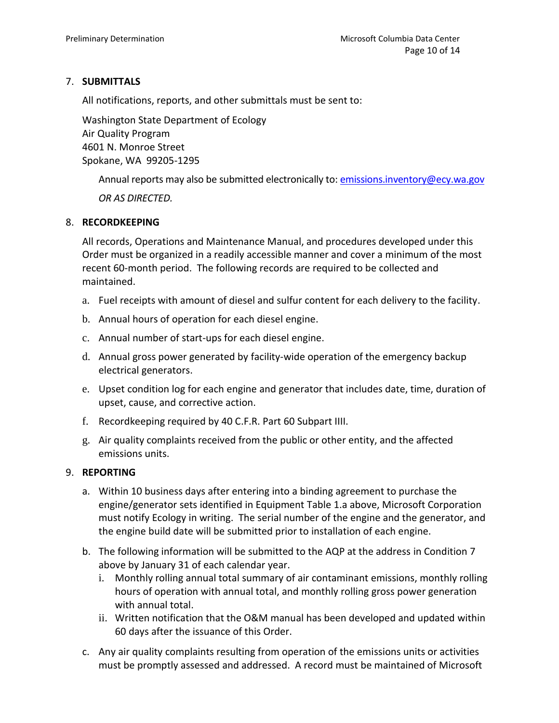# 7. **SUBMITTALS**

All notifications, reports, and other submittals must be sent to:

Washington State Department of Ecology Air Quality Program 4601 N. Monroe Street Spokane, WA 99205-1295

Annual reports may also be submitted electronically to[: emissions.inventory@ecy.wa.gov](mailto:emissions.inventory@ecy.wa.gov)

*OR AS DIRECTED.*

### 8. **RECORDKEEPING**

All records, Operations and Maintenance Manual, and procedures developed under this Order must be organized in a readily accessible manner and cover a minimum of the most recent 60-month period. The following records are required to be collected and maintained.

- a. Fuel receipts with amount of diesel and sulfur content for each delivery to the facility.
- b. Annual hours of operation for each diesel engine.
- c. Annual number of start-ups for each diesel engine.
- d. Annual gross power generated by facility-wide operation of the emergency backup electrical generators.
- e. Upset condition log for each engine and generator that includes date, time, duration of upset, cause, and corrective action.
- f. Recordkeeping required by 40 C.F.R. Part 60 Subpart IIII.
- g. Air quality complaints received from the public or other entity, and the affected emissions units.

# 9. **REPORTING**

- a. Within 10 business days after entering into a binding agreement to purchase the engine/generator sets identified in Equipment Table 1.a above, Microsoft Corporation must notify Ecology in writing. The serial number of the engine and the generator, and the engine build date will be submitted prior to installation of each engine.
- b. The following information will be submitted to the AQP at the address in Condition 7 above by January 31 of each calendar year.
	- i. Monthly rolling annual total summary of air contaminant emissions, monthly rolling hours of operation with annual total, and monthly rolling gross power generation with annual total.
	- ii. Written notification that the O&M manual has been developed and updated within 60 days after the issuance of this Order.
- c. Any air quality complaints resulting from operation of the emissions units or activities must be promptly assessed and addressed. A record must be maintained of Microsoft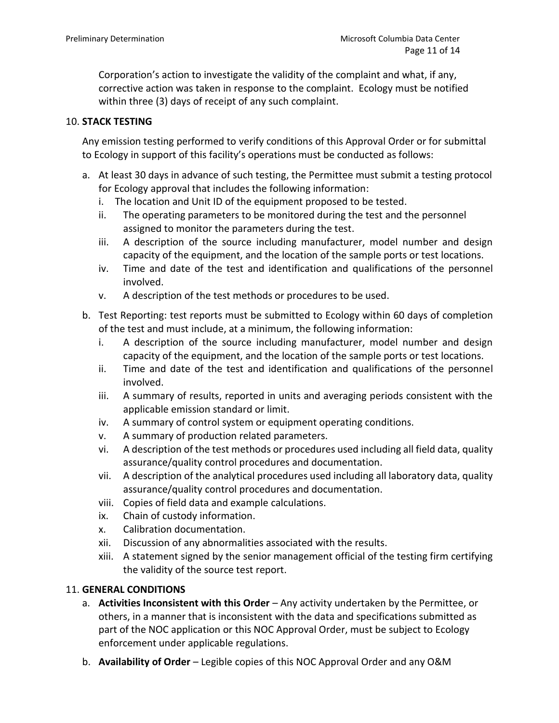Corporation's action to investigate the validity of the complaint and what, if any, corrective action was taken in response to the complaint. Ecology must be notified within three (3) days of receipt of any such complaint.

# 10. **STACK TESTING**

Any emission testing performed to verify conditions of this Approval Order or for submittal to Ecology in support of this facility's operations must be conducted as follows:

- a. At least 30 days in advance of such testing, the Permittee must submit a testing protocol for Ecology approval that includes the following information:
	- i. The location and Unit ID of the equipment proposed to be tested.
	- ii. The operating parameters to be monitored during the test and the personnel assigned to monitor the parameters during the test.
	- iii. A description of the source including manufacturer, model number and design capacity of the equipment, and the location of the sample ports or test locations.
	- iv. Time and date of the test and identification and qualifications of the personnel involved.
	- v. A description of the test methods or procedures to be used.
- b. Test Reporting: test reports must be submitted to Ecology within 60 days of completion of the test and must include, at a minimum, the following information:
	- i. A description of the source including manufacturer, model number and design capacity of the equipment, and the location of the sample ports or test locations.
	- ii. Time and date of the test and identification and qualifications of the personnel involved.
	- iii. A summary of results, reported in units and averaging periods consistent with the applicable emission standard or limit.
	- iv. A summary of control system or equipment operating conditions.
	- v. A summary of production related parameters.
	- vi. A description of the test methods or procedures used including all field data, quality assurance/quality control procedures and documentation.
	- vii. A description of the analytical procedures used including all laboratory data, quality assurance/quality control procedures and documentation.
	- viii. Copies of field data and example calculations.
	- ix. Chain of custody information.
	- x. Calibration documentation.
	- xii. Discussion of any abnormalities associated with the results.
	- xiii. A statement signed by the senior management official of the testing firm certifying the validity of the source test report.

### 11. **GENERAL CONDITIONS**

- a. **Activities Inconsistent with this Order** Any activity undertaken by the Permittee, or others, in a manner that is inconsistent with the data and specifications submitted as part of the NOC application or this NOC Approval Order, must be subject to Ecology enforcement under applicable regulations.
- b. **Availability of Order**  Legible copies of this NOC Approval Order and any O&M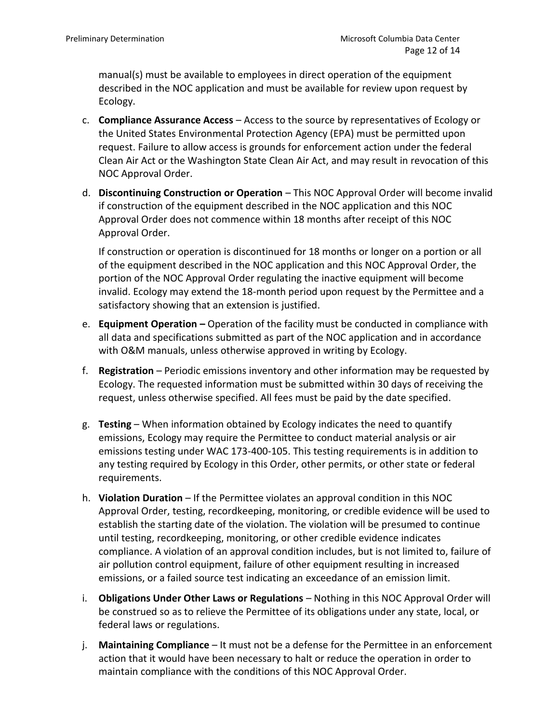manual(s) must be available to employees in direct operation of the equipment described in the NOC application and must be available for review upon request by Ecology.

- c. **Compliance Assurance Access**  Access to the source by representatives of Ecology or the United States Environmental Protection Agency (EPA) must be permitted upon request. Failure to allow access is grounds for enforcement action under the federal Clean Air Act or the Washington State Clean Air Act, and may result in revocation of this NOC Approval Order.
- d. **Discontinuing Construction or Operation**  This NOC Approval Order will become invalid if construction of the equipment described in the NOC application and this NOC Approval Order does not commence within 18 months after receipt of this NOC Approval Order.

If construction or operation is discontinued for 18 months or longer on a portion or all of the equipment described in the NOC application and this NOC Approval Order, the portion of the NOC Approval Order regulating the inactive equipment will become invalid. Ecology may extend the 18-month period upon request by the Permittee and a satisfactory showing that an extension is justified.

- e. **Equipment Operation –** Operation of the facility must be conducted in compliance with all data and specifications submitted as part of the NOC application and in accordance with O&M manuals, unless otherwise approved in writing by Ecology.
- f. **Registration** Periodic emissions inventory and other information may be requested by Ecology. The requested information must be submitted within 30 days of receiving the request, unless otherwise specified. All fees must be paid by the date specified.
- g. **Testing**  When information obtained by Ecology indicates the need to quantify emissions, Ecology may require the Permittee to conduct material analysis or air emissions testing under WAC 173-400-105. This testing requirements is in addition to any testing required by Ecology in this Order, other permits, or other state or federal requirements.
- h. **Violation Duration** If the Permittee violates an approval condition in this NOC Approval Order, testing, recordkeeping, monitoring, or credible evidence will be used to establish the starting date of the violation. The violation will be presumed to continue until testing, recordkeeping, monitoring, or other credible evidence indicates compliance. A violation of an approval condition includes, but is not limited to, failure of air pollution control equipment, failure of other equipment resulting in increased emissions, or a failed source test indicating an exceedance of an emission limit.
- i. **Obligations Under Other Laws or Regulations** Nothing in this NOC Approval Order will be construed so as to relieve the Permittee of its obligations under any state, local, or federal laws or regulations.
- j. **Maintaining Compliance** It must not be a defense for the Permittee in an enforcement action that it would have been necessary to halt or reduce the operation in order to maintain compliance with the conditions of this NOC Approval Order.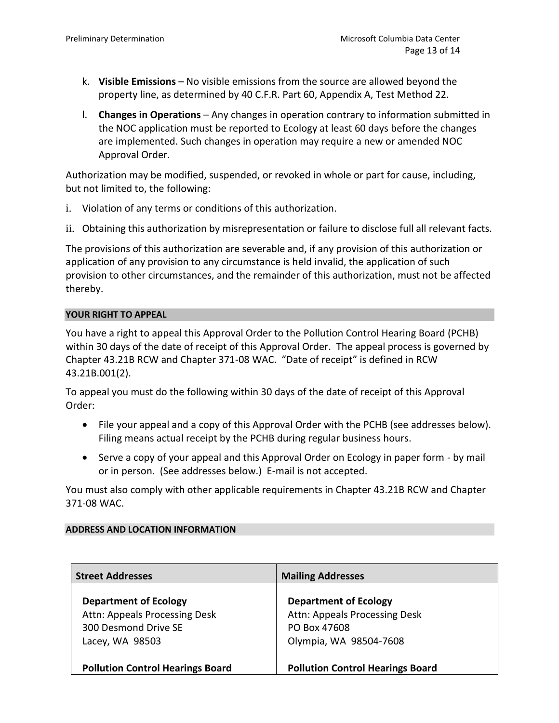- k. **Visible Emissions** No visible emissions from the source are allowed beyond the property line, as determined by 40 C.F.R. Part 60, Appendix A, Test Method 22.
- l. **Changes in Operations** Any changes in operation contrary to information submitted in the NOC application must be reported to Ecology at least 60 days before the changes are implemented. Such changes in operation may require a new or amended NOC Approval Order.

Authorization may be modified, suspended, or revoked in whole or part for cause, including, but not limited to, the following:

- i. Violation of any terms or conditions of this authorization.
- ii. Obtaining this authorization by misrepresentation or failure to disclose full all relevant facts.

The provisions of this authorization are severable and, if any provision of this authorization or application of any provision to any circumstance is held invalid, the application of such provision to other circumstances, and the remainder of this authorization, must not be affected thereby.

#### **YOUR RIGHT TO APPEAL**

You have a right to appeal this Approval Order to the Pollution Control Hearing Board (PCHB) within 30 days of the date of receipt of this Approval Order. The appeal process is governed by Chapter 43.21B RCW and Chapter 371-08 WAC. "Date of receipt" is defined in RCW 43.21B.001(2).

To appeal you must do the following within 30 days of the date of receipt of this Approval Order:

- File your appeal and a copy of this Approval Order with the PCHB (see addresses below). Filing means actual receipt by the PCHB during regular business hours.
- Serve a copy of your appeal and this Approval Order on Ecology in paper form by mail or in person. (See addresses below.) E-mail is not accepted.

You must also comply with other applicable requirements in Chapter 43.21B RCW and Chapter 371-08 WAC.

#### **ADDRESS AND LOCATION INFORMATION**

| <b>Street Addresses</b>                 | <b>Mailing Addresses</b>                |
|-----------------------------------------|-----------------------------------------|
| <b>Department of Ecology</b>            | <b>Department of Ecology</b>            |
| Attn: Appeals Processing Desk           | Attn: Appeals Processing Desk           |
| 300 Desmond Drive SE                    | PO Box 47608                            |
| Lacey, WA 98503                         | Olympia, WA 98504-7608                  |
|                                         |                                         |
| <b>Pollution Control Hearings Board</b> | <b>Pollution Control Hearings Board</b> |